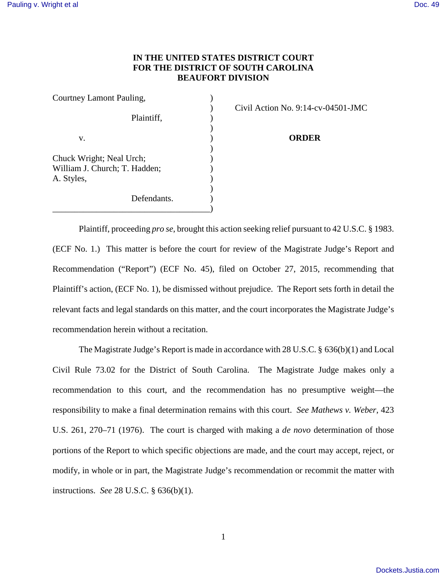## **IN THE UNITED STATES DISTRICT COURT FOR THE DISTRICT OF SOUTH CAROLINA BEAUFORT DIVISION**

| Civil Action No. 9:14-cy |
|--------------------------|
| ORDER                    |
|                          |
|                          |
|                          |
|                          |

) Civil Action No. 9:14-cv-04501-JMC

 Plaintiff, proceeding *pro se*, brought this action seeking relief pursuant to 42 U.S.C. § 1983. (ECF No. 1.) This matter is before the court for review of the Magistrate Judge's Report and Recommendation ("Report") (ECF No. 45), filed on October 27, 2015, recommending that Plaintiff's action, (ECF No. 1), be dismissed without prejudice. The Report sets forth in detail the relevant facts and legal standards on this matter, and the court incorporates the Magistrate Judge's recommendation herein without a recitation.

The Magistrate Judge's Report is made in accordance with 28 U.S.C. § 636(b)(1) and Local Civil Rule 73.02 for the District of South Carolina. The Magistrate Judge makes only a recommendation to this court, and the recommendation has no presumptive weight—the responsibility to make a final determination remains with this court. *See Mathews v. Weber*, 423 U.S. 261, 270–71 (1976). The court is charged with making a *de novo* determination of those portions of the Report to which specific objections are made, and the court may accept, reject, or modify, in whole or in part, the Magistrate Judge's recommendation or recommit the matter with instructions. *See* 28 U.S.C. § 636(b)(1).